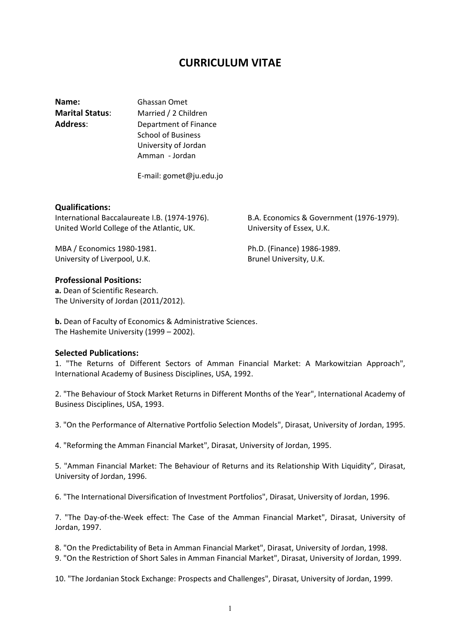# **CURRICULUM VITAE**

**Name:** Ghassan Omet **Marital Status**: Married / 2 Children **Address**: Department of Finance School of Business University of Jordan

E-mail: gomet@ju.edu.jo

Amman - Jordan

### **Qualifications:**

International Baccalaureate I.B. (1974-1976). B.A. Economics & Government (1976-1979). United World College of the Atlantic, UK. University of Essex, U.K.

MBA / Economics 1980-1981. Ph.D. (Finance) 1986-1989. University of Liverpool, U.K. **Brunel University, U.K.** Brunel University, U.K.

## **Professional Positions:**

**a.** Dean of Scientific Research. The University of Jordan (2011/2012).

**b.** Dean of Faculty of Economics & Administrative Sciences. The Hashemite University (1999 – 2002).

### **Selected Publications:**

1. "The Returns of Different Sectors of Amman Financial Market: A Markowitzian Approach", International Academy of Business Disciplines, USA, 1992.

2. "The Behaviour of Stock Market Returns in Different Months of the Year", International Academy of Business Disciplines, USA, 1993.

3. "On the Performance of Alternative Portfolio Selection Models", Dirasat, University of Jordan, 1995.

4. "Reforming the Amman Financial Market", Dirasat, University of Jordan, 1995.

5. "Amman Financial Market: The Behaviour of Returns and its Relationship With Liquidity", Dirasat, University of Jordan, 1996.

6. "The International Diversification of Investment Portfolios", Dirasat, University of Jordan, 1996.

7. "The Day-of-the-Week effect: The Case of the Amman Financial Market", Dirasat, University of Jordan, 1997.

8. "On the Predictability of Beta in Amman Financial Market", Dirasat, University of Jordan, 1998.

9. "On the Restriction of Short Sales in Amman Financial Market", Dirasat, University of Jordan, 1999.

10. "The Jordanian Stock Exchange: Prospects and Challenges", Dirasat, University of Jordan, 1999.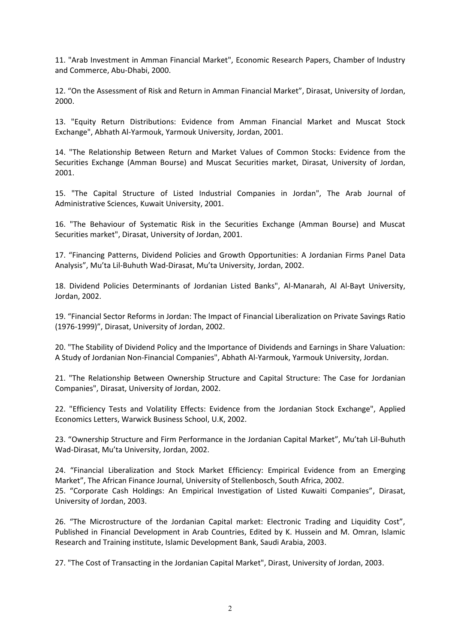11. "Arab Investment in Amman Financial Market", Economic Research Papers, Chamber of Industry and Commerce, Abu-Dhabi, 2000.

12. "On the Assessment of Risk and Return in Amman Financial Market", Dirasat, University of Jordan, 2000.

13. "Equity Return Distributions: Evidence from Amman Financial Market and Muscat Stock Exchange", Abhath Al-Yarmouk, Yarmouk University, Jordan, 2001.

14. "The Relationship Between Return and Market Values of Common Stocks: Evidence from the Securities Exchange (Amman Bourse) and Muscat Securities market, Dirasat, University of Jordan, 2001.

15. "The Capital Structure of Listed Industrial Companies in Jordan", The Arab Journal of Administrative Sciences, Kuwait University, 2001.

16. "The Behaviour of Systematic Risk in the Securities Exchange (Amman Bourse) and Muscat Securities market", Dirasat, University of Jordan, 2001.

17. "Financing Patterns, Dividend Policies and Growth Opportunities: A Jordanian Firms Panel Data Analysis", Mu'ta Lil-Buhuth Wad-Dirasat, Mu'ta University, Jordan, 2002.

18. Dividend Policies Determinants of Jordanian Listed Banks", Al-Manarah, Al Al-Bayt University, Jordan, 2002.

19. "Financial Sector Reforms in Jordan: The Impact of Financial Liberalization on Private Savings Ratio (1976-1999)", Dirasat, University of Jordan, 2002.

20. "The Stability of Dividend Policy and the Importance of Dividends and Earnings in Share Valuation: A Study of Jordanian Non-Financial Companies", Abhath Al-Yarmouk, Yarmouk University, Jordan.

21. "The Relationship Between Ownership Structure and Capital Structure: The Case for Jordanian Companies", Dirasat, University of Jordan, 2002.

22. "Efficiency Tests and Volatility Effects: Evidence from the Jordanian Stock Exchange", Applied Economics Letters, Warwick Business School, U.K, 2002.

23. "Ownership Structure and Firm Performance in the Jordanian Capital Market", Mu'tah Lil-Buhuth Wad-Dirasat, Mu'ta University, Jordan, 2002.

24. "Financial Liberalization and Stock Market Efficiency: Empirical Evidence from an Emerging Market", The African Finance Journal, University of Stellenbosch, South Africa, 2002. 25. "Corporate Cash Holdings: An Empirical Investigation of Listed Kuwaiti Companies", Dirasat, University of Jordan, 2003.

26. "The Microstructure of the Jordanian Capital market: Electronic Trading and Liquidity Cost", Published in Financial Development in Arab Countries, Edited by K. Hussein and M. Omran, Islamic Research and Training institute, Islamic Development Bank, Saudi Arabia, 2003.

27. "The Cost of Transacting in the Jordanian Capital Market", Dirast, University of Jordan, 2003.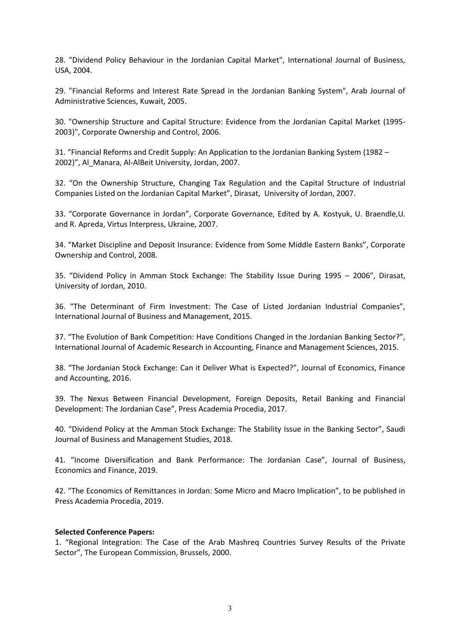28. "Dividend Policy Behaviour in the Jordanian Capital Market", International Journal of Business, USA, 2004.

29. "Financial Reforms and Interest Rate Spread in the Jordanian Banking System", Arab Journal of Administrative Sciences, Kuwait, 2005.

30. "Ownership Structure and Capital Structure: Evidence from the Jordanian Capital Market (1995- 2003)", Corporate Ownership and Control, 2006.

31. "Financial Reforms and Credit Supply: An Application to the Jordanian Banking System (1982 – 2002)", Al\_Manara, Al-AlBeit University, Jordan, 2007.

32. "On the Ownership Structure, Changing Tax Regulation and the Capital Structure of Industrial Companies Listed on the Jordanian Capital Market", Dirasat, University of Jordan, 2007.

33. "Corporate Governance in Jordan", Corporate Governance, Edited by A. Kostyuk, U. Braendle,U. and R. Apreda, Virtus Interpress, Ukraine, 2007.

34. "Market Discipline and Deposit Insurance: Evidence from Some Middle Eastern Banks", Corporate Ownership and Control, 2008.

35. "Dividend Policy in Amman Stock Exchange: The Stability Issue During 1995 – 2006", Dirasat, University of Jordan, 2010.

36. "The Determinant of Firm Investment: The Case of Listed Jordanian Industrial Companies", International Journal of Business and Management, 2015.

37. "The Evolution of Bank Competition: Have Conditions Changed in the Jordanian Banking Sector?", International Journal of Academic Research in Accounting, Finance and Management Sciences, 2015.

38. "The Jordanian Stock Exchange: Can it Deliver What is Expected?", Journal of Economics, Finance and Accounting, 2016.

39. The Nexus Between Financial Development, Foreign Deposits, Retail Banking and Financial Development: The Jordanian Case", Press Academia Procedia, 2017.

40. "Dividend Policy at the Amman Stock Exchange: The Stability Issue in the Banking Sector", Saudi Journal of Business and Management Studies, 2018.

41. "Income Diversification and Bank Performance: The Jordanian Case", Journal of Business, Economics and Finance, 2019.

42. "The Economics of Remittances in Jordan: Some Micro and Macro Implication", to be published in Press Academia Procedia, 2019.

#### **Selected Conference Papers:**

1. "Regional Integration: The Case of the Arab Mashreq Countries Survey Results of the Private Sector", The European Commission, Brussels, 2000.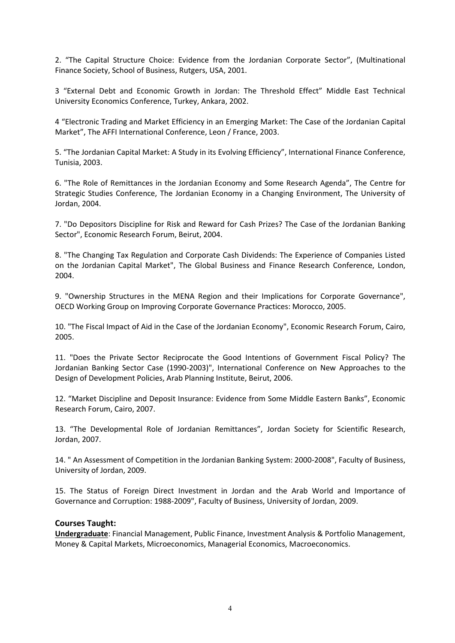2. "The Capital Structure Choice: Evidence from the Jordanian Corporate Sector", (Multinational Finance Society, School of Business, Rutgers, USA, 2001.

3 "External Debt and Economic Growth in Jordan: The Threshold Effect" Middle East Technical University Economics Conference, Turkey, Ankara, 2002.

4 "Electronic Trading and Market Efficiency in an Emerging Market: The Case of the Jordanian Capital Market", The AFFI International Conference, Leon / France, 2003.

5. "The Jordanian Capital Market: A Study in its Evolving Efficiency", International Finance Conference, Tunisia, 2003.

6. "The Role of Remittances in the Jordanian Economy and Some Research Agenda", The Centre for Strategic Studies Conference, The Jordanian Economy in a Changing Environment, The University of Jordan, 2004.

7. "Do Depositors Discipline for Risk and Reward for Cash Prizes? The Case of the Jordanian Banking Sector", Economic Research Forum, Beirut, 2004.

8. "The Changing Tax Regulation and Corporate Cash Dividends: The Experience of Companies Listed on the Jordanian Capital Market", The Global Business and Finance Research Conference, London, 2004.

9. "Ownership Structures in the MENA Region and their Implications for Corporate Governance", OECD Working Group on Improving Corporate Governance Practices: Morocco, 2005.

10. "The Fiscal Impact of Aid in the Case of the Jordanian Economy", Economic Research Forum, Cairo, 2005.

11. "Does the Private Sector Reciprocate the Good Intentions of Government Fiscal Policy? The Jordanian Banking Sector Case (1990-2003)", International Conference on New Approaches to the Design of Development Policies, Arab Planning Institute, Beirut, 2006.

12. "Market Discipline and Deposit Insurance: Evidence from Some Middle Eastern Banks", Economic Research Forum, Cairo, 2007.

13. "The Developmental Role of Jordanian Remittances", Jordan Society for Scientific Research, Jordan, 2007.

14. " An Assessment of Competition in the Jordanian Banking System: 2000-2008", Faculty of Business, University of Jordan, 2009.

15. The Status of Foreign Direct Investment in Jordan and the Arab World and Importance of Governance and Corruption: 1988-2009", Faculty of Business, University of Jordan, 2009.

## **Courses Taught:**

**Undergraduate**: Financial Management, Public Finance, Investment Analysis & Portfolio Management, Money & Capital Markets, Microeconomics, Managerial Economics, Macroeconomics.